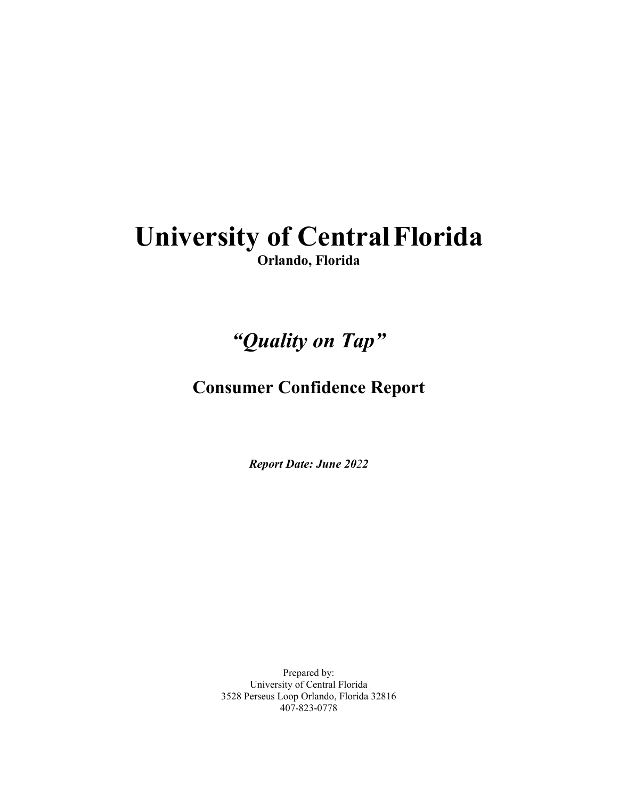## **University of CentralFlorida Orlando, Florida**

# *"Quality on Tap"*

### **Consumer Confidence Report**

*Report Date: June 2022*

Prepared by: University of Central Florida 3528 Perseus Loop Orlando, Florida 32816 407-823-0778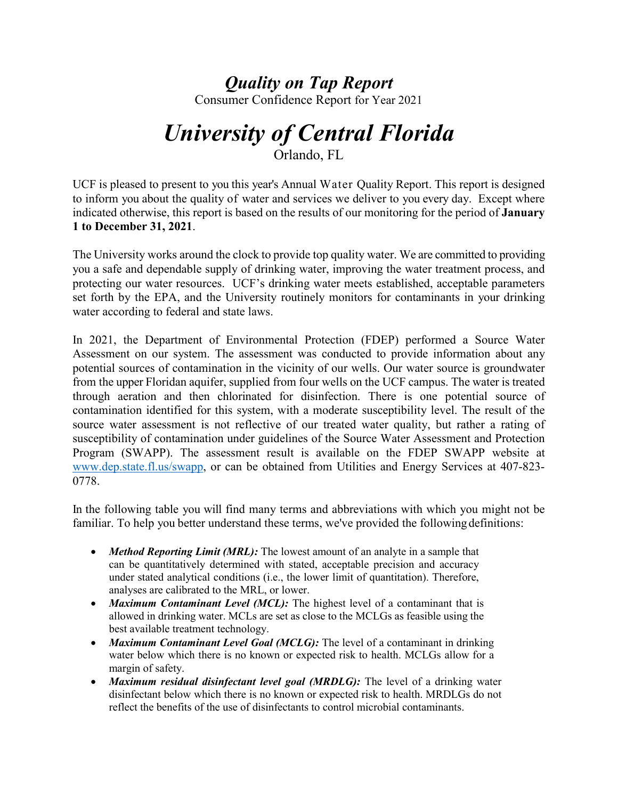### *Quality on Tap Report*

Consumer Confidence Report for Year 2021

# *University of Central Florida*

Orlando, FL

UCF is pleased to present to you this year's Annual Water Quality Report. This report is designed to inform you about the quality of water and services we deliver to you every day. Except where indicated otherwise, this report is based on the results of our monitoring for the period of **January 1 to December 31, 2021**.

The University works around the clock to provide top quality water. We are committed to providing you a safe and dependable supply of drinking water, improving the water treatment process, and protecting our water resources. UCF's drinking water meets established, acceptable parameters set forth by the EPA, and the University routinely monitors for contaminants in your drinking water according to federal and state laws.

In 2021, the Department of Environmental Protection (FDEP) performed a Source Water Assessment on our system. The assessment was conducted to provide information about any potential sources of contamination in the vicinity of our wells. Our water source is groundwater from the upper Floridan aquifer, supplied from four wells on the UCF campus. The water is treated through aeration and then chlorinated for disinfection. There is one potential source of contamination identified for this system, with a moderate susceptibility level. The result of the source water assessment is not reflective of our treated water quality, but rather a rating of susceptibility of contamination under guidelines of the Source Water Assessment and Protection Program (SWAPP). The assessment result is available on the FDEP SWAPP website at [www.dep.state.fl.us/swapp,](http://www.dep.state.fl.us/swapp) or can be obtained from Utilities and Energy Services at 407-823- 0778.

In the following table you will find many terms and abbreviations with which you might not be familiar. To help you better understand these terms, we've provided the following definitions:

- *Method Reporting Limit (MRL):* The lowest amount of an analyte in a sample that can be quantitatively determined with stated, acceptable precision and accuracy under stated analytical conditions (i.e., the lower limit of quantitation). Therefore, analyses are calibrated to the MRL, or lower.
- *Maximum Contaminant Level (MCL)*: The highest level of a contaminant that is allowed in drinking water. MCLs are set as close to the MCLGs as feasible using the best available treatment technology.
- *Maximum Contaminant Level Goal (MCLG)*: The level of a contaminant in drinking water below which there is no known or expected risk to health. MCLGs allow for a margin of safety.
- *Maximum residual disinfectant level goal (MRDLG):* The level of a drinking water disinfectant below which there is no known or expected risk to health. MRDLGs do not reflect the benefits of the use of disinfectants to control microbial contaminants.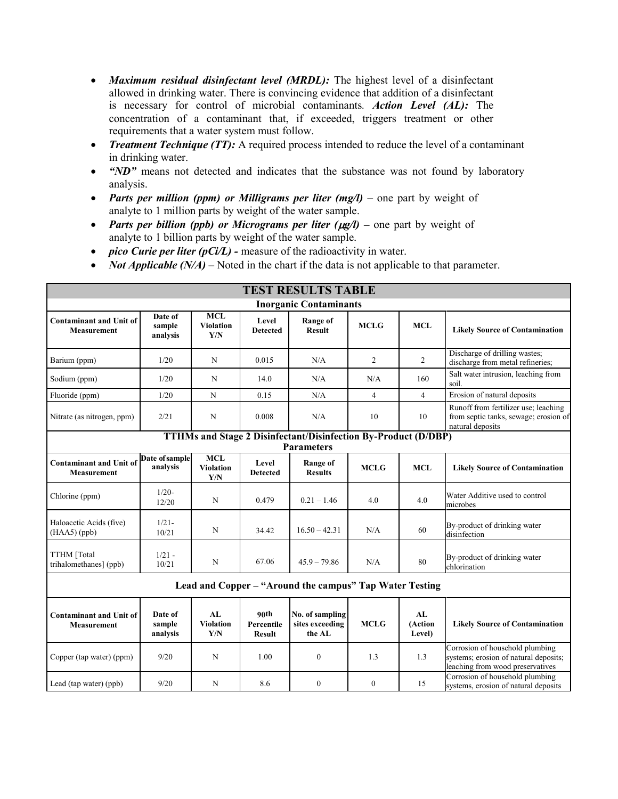- *Maximum residual disinfectant level (MRDL):* The highest level of a disinfectant allowed in drinking water. There is convincing evidence that addition of a disinfectant is necessary for control of microbial contaminants*. Action Level (AL):* The concentration of a contaminant that, if exceeded, triggers treatment or other requirements that a water system must follow.
- *Treatment Technique (TT):* A required process intended to reduce the level of a contaminant in drinking water.
- *"ND*" means not detected and indicates that the substance was not found by laboratory analysis.
- *Parts per million (ppm) or Milligrams per liter (mg/l)* one part by weight of analyte to 1 million parts by weight of the water sample.
- *Parts per billion (ppb) or Micrograms per liter (* $\mu$ *g/l)* one part by weight of analyte to 1 billion parts by weight of the water sample.
- *pico Curie per liter (pCi/L)* measure of the radioactivity in water.
- *Not Applicable (N/A)* Noted in the chart if the data is not applicable to that parameter.

| <b>TEST RESULTS TABLE</b>                                             |                               |                                       |                                     |                                              |                |                         |                                                                                                              |  |  |  |  |  |
|-----------------------------------------------------------------------|-------------------------------|---------------------------------------|-------------------------------------|----------------------------------------------|----------------|-------------------------|--------------------------------------------------------------------------------------------------------------|--|--|--|--|--|
| <b>Inorganic Contaminants</b>                                         |                               |                                       |                                     |                                              |                |                         |                                                                                                              |  |  |  |  |  |
| <b>Contaminant and Unit of</b><br><b>Measurement</b>                  | Date of<br>sample<br>analysis | <b>MCL</b><br><b>Violation</b><br>Y/N | Level<br><b>Detected</b>            | <b>Range of</b><br><b>Result</b>             | <b>MCLG</b>    | <b>MCL</b>              | <b>Likely Source of Contamination</b>                                                                        |  |  |  |  |  |
| Barium (ppm)                                                          | 1/20                          | N                                     | 0.015                               | N/A                                          | $\overline{2}$ | $\overline{2}$          | Discharge of drilling wastes;<br>discharge from metal refineries;                                            |  |  |  |  |  |
| Sodium (ppm)                                                          | 1/20                          | N                                     | 14.0                                | N/A                                          | N/A            | 160                     | Salt water intrusion, leaching from<br>soil.                                                                 |  |  |  |  |  |
| Fluoride (ppm)                                                        | 1/20                          | N                                     | 0.15                                | N/A                                          | $\overline{4}$ | $\overline{4}$          | Erosion of natural deposits                                                                                  |  |  |  |  |  |
| Nitrate (as nitrogen, ppm)                                            | 2/21                          | $\mathbf N$                           | 0.008                               | N/A                                          | 10             | 10                      | Runoff from fertilizer use; leaching<br>from septic tanks, sewage; erosion of<br>natural deposits            |  |  |  |  |  |
| <b>TTHMs and Stage 2 Disinfectant/Disinfection By-Product (D/DBP)</b> |                               |                                       |                                     |                                              |                |                         |                                                                                                              |  |  |  |  |  |
|                                                                       |                               | $\overline{\text{MCL}}$               |                                     | <b>Parameters</b>                            |                |                         |                                                                                                              |  |  |  |  |  |
| <b>Contaminant and Unit of</b><br><b>Measurement</b>                  | Date of sample<br>analysis    | <b>Violation</b><br>Y/N               | Level<br><b>Detected</b>            | Range of<br><b>Results</b>                   | <b>MCLG</b>    | <b>MCL</b>              | <b>Likely Source of Contamination</b>                                                                        |  |  |  |  |  |
| Chlorine (ppm)                                                        | $1/20-$<br>12/20              | N                                     | 0.479                               | $0.21 - 1.46$                                | 4.0            | 4.0                     | Water Additive used to control<br>microbes                                                                   |  |  |  |  |  |
| Haloacetic Acids (five)<br>$(HAA5)$ (ppb)                             | $1/21 -$<br>10/21             | N                                     | 34.42                               | $16.50 - 42.31$                              | N/A            | 60                      | By-product of drinking water<br>disinfection                                                                 |  |  |  |  |  |
| TTHM [Total<br>trihalomethanes] (ppb)                                 | $1/21 -$<br>10/21             | $\mathbf N$                           | 67.06                               | $45.9 - 79.86$                               | N/A            | 80                      | By-product of drinking water<br>chlorination                                                                 |  |  |  |  |  |
| Lead and Copper – "Around the campus" Tap Water Testing               |                               |                                       |                                     |                                              |                |                         |                                                                                                              |  |  |  |  |  |
| <b>Contaminant and Unit of</b><br><b>Measurement</b>                  | Date of<br>sample<br>analysis | AL<br><b>Violation</b><br>Y/N         | 90th<br>Percentile<br><b>Result</b> | No. of sampling<br>sites exceeding<br>the AL | <b>MCLG</b>    | AL<br>(Action<br>Level) | <b>Likely Source of Contamination</b>                                                                        |  |  |  |  |  |
| Copper (tap water) (ppm)                                              | 9/20                          | N                                     | 1.00                                | $\mathbf{0}$                                 | 1.3            | 1.3                     | Corrosion of household plumbing<br>systems; erosion of natural deposits;<br>leaching from wood preservatives |  |  |  |  |  |
| Lead (tap water) (ppb)                                                | 9/20                          | $\mathbf N$                           | 8.6                                 | $\mathbf{0}$                                 | $\mathbf{0}$   | 15                      | Corrosion of household plumbing<br>systems, erosion of natural deposits                                      |  |  |  |  |  |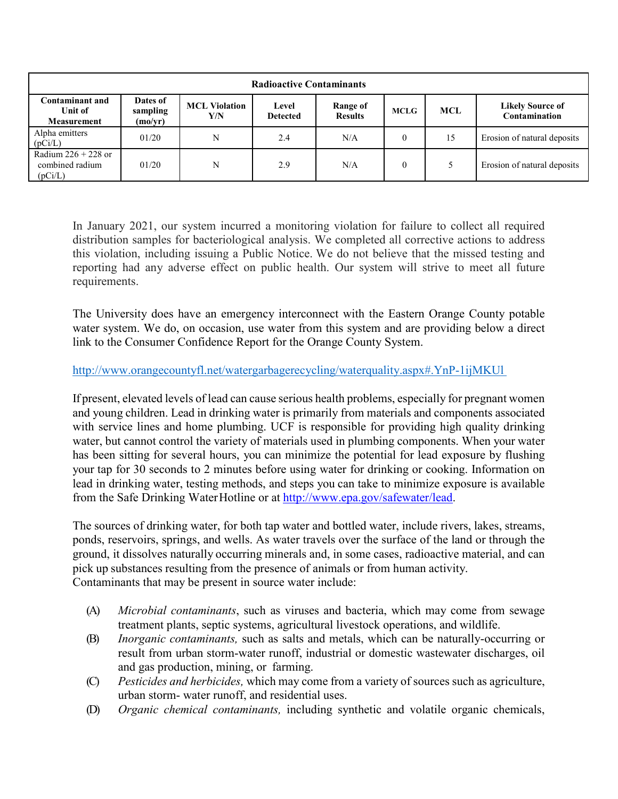| <b>Radioactive Contaminants</b>                         |                                 |                             |                          |                            |             |            |                                          |  |  |  |  |
|---------------------------------------------------------|---------------------------------|-----------------------------|--------------------------|----------------------------|-------------|------------|------------------------------------------|--|--|--|--|
| <b>Contaminant and</b><br>Unit of<br><b>Measurement</b> | Dates of<br>sampling<br>(mo/yr) | <b>MCL Violation</b><br>Y/N | Level<br><b>Detected</b> | Range of<br><b>Results</b> | <b>MCLG</b> | <b>MCL</b> | <b>Likely Source of</b><br>Contamination |  |  |  |  |
| Alpha emitters<br>(pCi/L)                               | 01/20                           | N                           | 2.4                      | N/A                        | $\theta$    | 15         | Erosion of natural deposits              |  |  |  |  |
| Radium $226 + 228$ or<br>combined radium<br>(pCi/L)     | 01/20                           | N                           | 2.9                      | N/A                        | $\theta$    |            | Erosion of natural deposits              |  |  |  |  |

In January 2021, our system incurred a monitoring violation for failure to collect all required distribution samples for bacteriological analysis. We completed all corrective actions to address this violation, including issuing a Public Notice. We do not believe that the missed testing and reporting had any adverse effect on public health. Our system will strive to meet all future requirements.

The University does have an emergency interconnect with the Eastern Orange County potable water system. We do, on occasion, use water from this system and are providing below a direct link to the Consumer Confidence Report for the Orange County System.

#### http://www.orangecountyfl.net/watergarbagerecycling/waterquality.aspx#.YnP-1ijMKUl

If present, elevated levels of lead can cause serious health problems, especially for pregnant women and young children. Lead in drinking water is primarily from materials and components associated with service lines and home plumbing. UCF is responsible for providing high quality drinking water, but cannot control the variety of materials used in plumbing components. When your water has been sitting for several hours, you can minimize the potential for lead exposure by flushing your tap for 30 seconds to 2 minutes before using water for drinking or cooking. Information on lead in drinking water, testing methods, and steps you can take to minimize exposure is available from the Safe Drinking Water Hotline or at [http://www.epa.gov/safewater/lead.](http://www.epa.gov/safewater/lead)

The sources of drinking water, for both tap water and bottled water, include rivers, lakes, streams, ponds, reservoirs, springs, and wells. As water travels over the surface of the land or through the ground, it dissolves naturally occurring minerals and, in some cases, radioactive material, and can pick up substances resulting from the presence of animals or from human activity. Contaminants that may be present in source water include:

- (A) *Microbial contaminants*, such as viruses and bacteria, which may come from sewage treatment plants, septic systems, agricultural livestock operations, and wildlife.
- (B) *Inorganic contaminants,* such as salts and metals, which can be naturally-occurring or result from urban storm-water runoff, industrial or domestic wastewater discharges, oil and gas production, mining, or farming.
- (C) *Pesticides and herbicides,* which may come from a variety of sources such as agriculture, urban storm- water runoff, and residential uses.
- (D) *Organic chemical contaminants,* including synthetic and volatile organic chemicals,